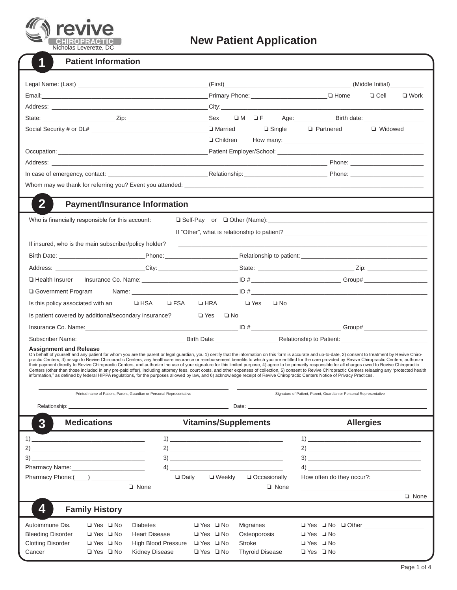

| <b>Patient Information</b>                                                                                                                                                                                                                                                                                                                                                                                                                                                                                                                                                                                                                                                                                                                                                                                                                                                                                                                                                                                                                                            |                                                                                                                                                                                                                                                                                                                                                                     |                                                                                                                                                                                                                                                                                                                                                                                                                                                                                                                                                                               |  |  |
|-----------------------------------------------------------------------------------------------------------------------------------------------------------------------------------------------------------------------------------------------------------------------------------------------------------------------------------------------------------------------------------------------------------------------------------------------------------------------------------------------------------------------------------------------------------------------------------------------------------------------------------------------------------------------------------------------------------------------------------------------------------------------------------------------------------------------------------------------------------------------------------------------------------------------------------------------------------------------------------------------------------------------------------------------------------------------|---------------------------------------------------------------------------------------------------------------------------------------------------------------------------------------------------------------------------------------------------------------------------------------------------------------------------------------------------------------------|-------------------------------------------------------------------------------------------------------------------------------------------------------------------------------------------------------------------------------------------------------------------------------------------------------------------------------------------------------------------------------------------------------------------------------------------------------------------------------------------------------------------------------------------------------------------------------|--|--|
|                                                                                                                                                                                                                                                                                                                                                                                                                                                                                                                                                                                                                                                                                                                                                                                                                                                                                                                                                                                                                                                                       |                                                                                                                                                                                                                                                                                                                                                                     |                                                                                                                                                                                                                                                                                                                                                                                                                                                                                                                                                                               |  |  |
|                                                                                                                                                                                                                                                                                                                                                                                                                                                                                                                                                                                                                                                                                                                                                                                                                                                                                                                                                                                                                                                                       |                                                                                                                                                                                                                                                                                                                                                                     | $\Box$ Home<br>$\Box$ Cell<br>$\Box$ Work                                                                                                                                                                                                                                                                                                                                                                                                                                                                                                                                     |  |  |
| Address: <u>Address:</u> Address: Address: Address: Address: Address: Address: Address: Address: Address: Address: Address: Address: Address: Address: Address: Address: Address: Address: Address: Address: Address: Address: Addr                                                                                                                                                                                                                                                                                                                                                                                                                                                                                                                                                                                                                                                                                                                                                                                                                                   |                                                                                                                                                                                                                                                                                                                                                                     | City: the contract of the contract of the contract of the contract of the contract of the contract of the contract of the contract of the contract of the contract of the contract of the contract of the contract of the cont                                                                                                                                                                                                                                                                                                                                                |  |  |
|                                                                                                                                                                                                                                                                                                                                                                                                                                                                                                                                                                                                                                                                                                                                                                                                                                                                                                                                                                                                                                                                       | Sex                                                                                                                                                                                                                                                                                                                                                                 |                                                                                                                                                                                                                                                                                                                                                                                                                                                                                                                                                                               |  |  |
|                                                                                                                                                                                                                                                                                                                                                                                                                                                                                                                                                                                                                                                                                                                                                                                                                                                                                                                                                                                                                                                                       | $\Box$ Married<br>$\Box$ Single                                                                                                                                                                                                                                                                                                                                     | <b>D</b> Partnered<br>□ Widowed                                                                                                                                                                                                                                                                                                                                                                                                                                                                                                                                               |  |  |
|                                                                                                                                                                                                                                                                                                                                                                                                                                                                                                                                                                                                                                                                                                                                                                                                                                                                                                                                                                                                                                                                       | $\Box$ Children                                                                                                                                                                                                                                                                                                                                                     |                                                                                                                                                                                                                                                                                                                                                                                                                                                                                                                                                                               |  |  |
|                                                                                                                                                                                                                                                                                                                                                                                                                                                                                                                                                                                                                                                                                                                                                                                                                                                                                                                                                                                                                                                                       |                                                                                                                                                                                                                                                                                                                                                                     |                                                                                                                                                                                                                                                                                                                                                                                                                                                                                                                                                                               |  |  |
|                                                                                                                                                                                                                                                                                                                                                                                                                                                                                                                                                                                                                                                                                                                                                                                                                                                                                                                                                                                                                                                                       |                                                                                                                                                                                                                                                                                                                                                                     |                                                                                                                                                                                                                                                                                                                                                                                                                                                                                                                                                                               |  |  |
|                                                                                                                                                                                                                                                                                                                                                                                                                                                                                                                                                                                                                                                                                                                                                                                                                                                                                                                                                                                                                                                                       |                                                                                                                                                                                                                                                                                                                                                                     |                                                                                                                                                                                                                                                                                                                                                                                                                                                                                                                                                                               |  |  |
|                                                                                                                                                                                                                                                                                                                                                                                                                                                                                                                                                                                                                                                                                                                                                                                                                                                                                                                                                                                                                                                                       |                                                                                                                                                                                                                                                                                                                                                                     |                                                                                                                                                                                                                                                                                                                                                                                                                                                                                                                                                                               |  |  |
| $\bf{2}$<br><b>Payment/Insurance Information</b>                                                                                                                                                                                                                                                                                                                                                                                                                                                                                                                                                                                                                                                                                                                                                                                                                                                                                                                                                                                                                      |                                                                                                                                                                                                                                                                                                                                                                     |                                                                                                                                                                                                                                                                                                                                                                                                                                                                                                                                                                               |  |  |
|                                                                                                                                                                                                                                                                                                                                                                                                                                                                                                                                                                                                                                                                                                                                                                                                                                                                                                                                                                                                                                                                       |                                                                                                                                                                                                                                                                                                                                                                     |                                                                                                                                                                                                                                                                                                                                                                                                                                                                                                                                                                               |  |  |
| Who is financially responsible for this account:                                                                                                                                                                                                                                                                                                                                                                                                                                                                                                                                                                                                                                                                                                                                                                                                                                                                                                                                                                                                                      |                                                                                                                                                                                                                                                                                                                                                                     | $\Box$ Self-Pay or $\Box$ Other (Name):                                                                                                                                                                                                                                                                                                                                                                                                                                                                                                                                       |  |  |
|                                                                                                                                                                                                                                                                                                                                                                                                                                                                                                                                                                                                                                                                                                                                                                                                                                                                                                                                                                                                                                                                       |                                                                                                                                                                                                                                                                                                                                                                     |                                                                                                                                                                                                                                                                                                                                                                                                                                                                                                                                                                               |  |  |
| If insured, who is the main subscriber/policy holder?                                                                                                                                                                                                                                                                                                                                                                                                                                                                                                                                                                                                                                                                                                                                                                                                                                                                                                                                                                                                                 |                                                                                                                                                                                                                                                                                                                                                                     |                                                                                                                                                                                                                                                                                                                                                                                                                                                                                                                                                                               |  |  |
|                                                                                                                                                                                                                                                                                                                                                                                                                                                                                                                                                                                                                                                                                                                                                                                                                                                                                                                                                                                                                                                                       |                                                                                                                                                                                                                                                                                                                                                                     |                                                                                                                                                                                                                                                                                                                                                                                                                                                                                                                                                                               |  |  |
|                                                                                                                                                                                                                                                                                                                                                                                                                                                                                                                                                                                                                                                                                                                                                                                                                                                                                                                                                                                                                                                                       |                                                                                                                                                                                                                                                                                                                                                                     |                                                                                                                                                                                                                                                                                                                                                                                                                                                                                                                                                                               |  |  |
| $\Box$ Health Insurer                                                                                                                                                                                                                                                                                                                                                                                                                                                                                                                                                                                                                                                                                                                                                                                                                                                                                                                                                                                                                                                 |                                                                                                                                                                                                                                                                                                                                                                     |                                                                                                                                                                                                                                                                                                                                                                                                                                                                                                                                                                               |  |  |
| □ Government Program                                                                                                                                                                                                                                                                                                                                                                                                                                                                                                                                                                                                                                                                                                                                                                                                                                                                                                                                                                                                                                                  |                                                                                                                                                                                                                                                                                                                                                                     |                                                                                                                                                                                                                                                                                                                                                                                                                                                                                                                                                                               |  |  |
| Is this policy associated with an<br>$\square$ HSA                                                                                                                                                                                                                                                                                                                                                                                                                                                                                                                                                                                                                                                                                                                                                                                                                                                                                                                                                                                                                    | $\square$ FSA<br>$\Box$ HRA<br>$\Box$ Yes<br>$\square$ No                                                                                                                                                                                                                                                                                                           |                                                                                                                                                                                                                                                                                                                                                                                                                                                                                                                                                                               |  |  |
| Is patient covered by additional/secondary insurance?                                                                                                                                                                                                                                                                                                                                                                                                                                                                                                                                                                                                                                                                                                                                                                                                                                                                                                                                                                                                                 | $\Box$ Yes<br>⊟ No                                                                                                                                                                                                                                                                                                                                                  |                                                                                                                                                                                                                                                                                                                                                                                                                                                                                                                                                                               |  |  |
|                                                                                                                                                                                                                                                                                                                                                                                                                                                                                                                                                                                                                                                                                                                                                                                                                                                                                                                                                                                                                                                                       |                                                                                                                                                                                                                                                                                                                                                                     |                                                                                                                                                                                                                                                                                                                                                                                                                                                                                                                                                                               |  |  |
|                                                                                                                                                                                                                                                                                                                                                                                                                                                                                                                                                                                                                                                                                                                                                                                                                                                                                                                                                                                                                                                                       |                                                                                                                                                                                                                                                                                                                                                                     |                                                                                                                                                                                                                                                                                                                                                                                                                                                                                                                                                                               |  |  |
| <b>Assignment and Release</b><br>On behalf of yourself and any patient for whom you are the parent or legal quardian, you 1) certify that the information on this form is accurate and up-to-date, 2) consent to treatment by Revive Chiro-<br>practic Centers, 3) assign to Revive Chiropractic Centers, any healthcare insurance or reimbursement benefits to which you are entitled for the care provided by Revive Chiropractic Centers, authorize<br>their payment directly to Revive Chiropractic Centers, and authorize the use of your signature for this limited purpose, 4) agree to be primarily responsible for all charges owed to Revive Chiropractic<br>Centers (other than those included in any pre-paid offer), including attorney fees, court costs, and other expenses of collection, 5) consent to Revive Chiropractic Centers releasing any "protected health<br>information," as defined by federal HIPPA requlations, for the purposes allowed by law, and 6) acknowledge receipt of Revive Chiropractic Centers Notice of Privacy Practices. |                                                                                                                                                                                                                                                                                                                                                                     |                                                                                                                                                                                                                                                                                                                                                                                                                                                                                                                                                                               |  |  |
| Printed name of Patient, Parent, Guardian or Personal Representative                                                                                                                                                                                                                                                                                                                                                                                                                                                                                                                                                                                                                                                                                                                                                                                                                                                                                                                                                                                                  |                                                                                                                                                                                                                                                                                                                                                                     | Signature of Patient, Parent, Guardian or Personal Representative                                                                                                                                                                                                                                                                                                                                                                                                                                                                                                             |  |  |
| Relationship: The contract of the contract of the contract of the contract of the contract of the contract of                                                                                                                                                                                                                                                                                                                                                                                                                                                                                                                                                                                                                                                                                                                                                                                                                                                                                                                                                         | Date: Date:                                                                                                                                                                                                                                                                                                                                                         |                                                                                                                                                                                                                                                                                                                                                                                                                                                                                                                                                                               |  |  |
| <b>Medications</b><br>3 <sup>1</sup>                                                                                                                                                                                                                                                                                                                                                                                                                                                                                                                                                                                                                                                                                                                                                                                                                                                                                                                                                                                                                                  | <b>Vitamins/Supplements</b>                                                                                                                                                                                                                                                                                                                                         | <b>Allergies</b>                                                                                                                                                                                                                                                                                                                                                                                                                                                                                                                                                              |  |  |
|                                                                                                                                                                                                                                                                                                                                                                                                                                                                                                                                                                                                                                                                                                                                                                                                                                                                                                                                                                                                                                                                       |                                                                                                                                                                                                                                                                                                                                                                     |                                                                                                                                                                                                                                                                                                                                                                                                                                                                                                                                                                               |  |  |
| $2) \underline{\hspace{2cm} \underbrace{\hspace{2cm}}$                                                                                                                                                                                                                                                                                                                                                                                                                                                                                                                                                                                                                                                                                                                                                                                                                                                                                                                                                                                                                |                                                                                                                                                                                                                                                                                                                                                                     | $2) \begin{tabular}{@{}c@{}} \hline \multicolumn{3}{c }{\textbf{2}} & \multicolumn{3}{c }{\textbf{2}} \\ \multicolumn{3}{c }{\textbf{2}} & \multicolumn{3}{c }{\textbf{2}} \\ \multicolumn{3}{c }{\textbf{2}} & \multicolumn{3}{c }{\textbf{2}} \\ \multicolumn{3}{c }{\textbf{2}} & \multicolumn{3}{c }{\textbf{2}} \\ \multicolumn{3}{c }{\textbf{2}} & \multicolumn{3}{c }{\textbf{2}} \\ \multicolumn{3}{c }{\textbf{2}} & \multicolumn{3}{c }{\textbf{2}}$                                                                                                               |  |  |
|                                                                                                                                                                                                                                                                                                                                                                                                                                                                                                                                                                                                                                                                                                                                                                                                                                                                                                                                                                                                                                                                       | $\begin{picture}(20,10) \put(0,0){\vector(1,0){100}} \put(15,0){\vector(1,0){100}} \put(15,0){\vector(1,0){100}} \put(15,0){\vector(1,0){100}} \put(15,0){\vector(1,0){100}} \put(15,0){\vector(1,0){100}} \put(15,0){\vector(1,0){100}} \put(15,0){\vector(1,0){100}} \put(15,0){\vector(1,0){100}} \put(15,0){\vector(1,0){100}} \put(15,0){\vector(1,0){100}} \$ | $\begin{tabular}{c} 3) \end{tabular}$                                                                                                                                                                                                                                                                                                                                                                                                                                                                                                                                         |  |  |
| <b>Pharmacy Name:</b> Name:                                                                                                                                                                                                                                                                                                                                                                                                                                                                                                                                                                                                                                                                                                                                                                                                                                                                                                                                                                                                                                           | $\left(4\right)$                                                                                                                                                                                                                                                                                                                                                    | $\left( \begin{array}{ccc} 4) & \begin{array}{ccc} \end{array} & \begin{array}{ccc} \end{array} & \begin{array}{ccc} \end{array} & \begin{array}{ccc} \end{array} & \begin{array}{ccc} \end{array} & \begin{array}{ccc} \end{array} & \begin{array}{ccc} \end{array} & \begin{array}{ccc} \end{array} & \begin{array}{ccc} \end{array} & \begin{array}{ccc} \end{array} & \begin{array}{ccc} \end{array} & \begin{array}{ccc} \end{array} & \begin{array}{ccc} \end{array} & \begin{array}{ccc} \end{array} & \begin{array}{ccc} \end{array} & \begin{array}{ccc} \end{array$ |  |  |
| Pharmacy Phone:(____) __________________                                                                                                                                                                                                                                                                                                                                                                                                                                                                                                                                                                                                                                                                                                                                                                                                                                                                                                                                                                                                                              | $\Box$ Weekly<br>$\Box$ Daily<br>Occasionally                                                                                                                                                                                                                                                                                                                       | How often do they occur?:                                                                                                                                                                                                                                                                                                                                                                                                                                                                                                                                                     |  |  |
| $\Box$ None                                                                                                                                                                                                                                                                                                                                                                                                                                                                                                                                                                                                                                                                                                                                                                                                                                                                                                                                                                                                                                                           | $\Box$ None                                                                                                                                                                                                                                                                                                                                                         | $\Box$ None                                                                                                                                                                                                                                                                                                                                                                                                                                                                                                                                                                   |  |  |
| 4<br><b>Family History</b>                                                                                                                                                                                                                                                                                                                                                                                                                                                                                                                                                                                                                                                                                                                                                                                                                                                                                                                                                                                                                                            |                                                                                                                                                                                                                                                                                                                                                                     |                                                                                                                                                                                                                                                                                                                                                                                                                                                                                                                                                                               |  |  |
| Autoimmune Dis.<br>$\Box$ Yes $\Box$ No<br><b>Diabetes</b>                                                                                                                                                                                                                                                                                                                                                                                                                                                                                                                                                                                                                                                                                                                                                                                                                                                                                                                                                                                                            | $\Box$ Yes $\Box$ No<br><b>Migraines</b>                                                                                                                                                                                                                                                                                                                            | $\Box$ Yes $\Box$ No $\Box$ Other                                                                                                                                                                                                                                                                                                                                                                                                                                                                                                                                             |  |  |
| <b>Heart Disease</b><br><b>Bleeding Disorder</b><br>$\Box$ Yes $\Box$ No                                                                                                                                                                                                                                                                                                                                                                                                                                                                                                                                                                                                                                                                                                                                                                                                                                                                                                                                                                                              | $\Box$ Yes $\Box$ No<br>Osteoporosis                                                                                                                                                                                                                                                                                                                                | $\Box$ Yes $\Box$ No                                                                                                                                                                                                                                                                                                                                                                                                                                                                                                                                                          |  |  |
| <b>High Blood Pressure</b><br><b>Clotting Disorder</b><br>$\Box$ Yes $\Box$ No                                                                                                                                                                                                                                                                                                                                                                                                                                                                                                                                                                                                                                                                                                                                                                                                                                                                                                                                                                                        | $\Box$ Yes $\Box$ No<br><b>Stroke</b>                                                                                                                                                                                                                                                                                                                               | $\Box$ Yes $\Box$ No                                                                                                                                                                                                                                                                                                                                                                                                                                                                                                                                                          |  |  |
| Cancer<br>$\Box$ Yes $\Box$ No<br>Kidney Disease                                                                                                                                                                                                                                                                                                                                                                                                                                                                                                                                                                                                                                                                                                                                                                                                                                                                                                                                                                                                                      | <b>Thyroid Disease</b><br>$\Box$ Yes $\Box$ No                                                                                                                                                                                                                                                                                                                      | $\Box$ Yes $\Box$ No                                                                                                                                                                                                                                                                                                                                                                                                                                                                                                                                                          |  |  |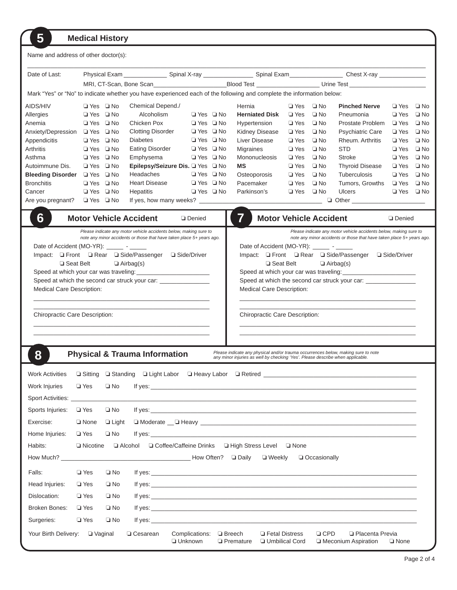| 5                                                                                                                                                                                                                                             | <b>Medical History</b>                                                                                                |                                                                   |                                              |                                                                                                                                                                                                                                |                          |                              |                                                                                   |                          |                              |
|-----------------------------------------------------------------------------------------------------------------------------------------------------------------------------------------------------------------------------------------------|-----------------------------------------------------------------------------------------------------------------------|-------------------------------------------------------------------|----------------------------------------------|--------------------------------------------------------------------------------------------------------------------------------------------------------------------------------------------------------------------------------|--------------------------|------------------------------|-----------------------------------------------------------------------------------|--------------------------|------------------------------|
| Name and address of other doctor(s):                                                                                                                                                                                                          |                                                                                                                       |                                                                   |                                              |                                                                                                                                                                                                                                |                          |                              |                                                                                   |                          |                              |
| Date of Last:                                                                                                                                                                                                                                 |                                                                                                                       |                                                                   |                                              |                                                                                                                                                                                                                                |                          |                              |                                                                                   |                          |                              |
|                                                                                                                                                                                                                                               |                                                                                                                       |                                                                   |                                              | MRI, CT-Scan, Bone Scan et al., 2004 Test Company Blood Test Company University University Of the Test Company                                                                                                                 |                          |                              |                                                                                   |                          |                              |
|                                                                                                                                                                                                                                               | Mark "Yes" or "No" to indicate whether you have experienced each of the following and complete the information below: |                                                                   |                                              |                                                                                                                                                                                                                                |                          |                              |                                                                                   |                          |                              |
| AIDS/HIV                                                                                                                                                                                                                                      | □ Yes □ No                                                                                                            | Chemical Depend./                                                 |                                              | Hernia                                                                                                                                                                                                                         | $\Box$ Yes               | $\square$ No                 | <b>Pinched Nerve</b>                                                              | $\Box$ Yes               | $\square$ No                 |
| Allergies                                                                                                                                                                                                                                     | $\Box$ Yes<br>$\square$ No                                                                                            | Alcoholism                                                        | $\Box$ Yes $\Box$ No                         | <b>Herniated Disk</b>                                                                                                                                                                                                          | $\Box$ Yes               | $\square$ No                 | Pneumonia                                                                         | $\Box$ Yes               | $\square$ No                 |
| Anemia                                                                                                                                                                                                                                        | ⊟ No<br>$\Box$ Yes                                                                                                    | Chicken Pox                                                       | $\Box$ Yes $\Box$ No                         | Hypertension                                                                                                                                                                                                                   | $\Box$ Yes               | $\square$ No                 | Prostate Problem                                                                  | $\Box$ Yes               | $\square$ No                 |
| Anxiety/Depression                                                                                                                                                                                                                            | $\Box$ Yes<br>$\square$ No                                                                                            | <b>Clotting Disorder</b>                                          | $\Box$ Yes $\Box$ No                         | <b>Kidney Disease</b>                                                                                                                                                                                                          | $\Box$ Yes               | $\square$ No                 | <b>Psychiatric Care</b>                                                           | $\Box$ Yes               | $\square$ No                 |
| Appendicitis                                                                                                                                                                                                                                  | $\square$ Yes<br>⊟ No                                                                                                 | <b>Diabetes</b>                                                   | $\Box$ Yes $\Box$ No                         | Liver Disease                                                                                                                                                                                                                  | $\Box$ Yes               | $\square$ No                 | Rheum. Arthritis                                                                  | $\Box$ Yes               | $\square$ No                 |
| Arthritis<br>Asthma                                                                                                                                                                                                                           | $\Box$ Yes<br>⊟ No<br>$\square$ No<br>$\Box$ Yes                                                                      | Eating Disorder<br>Emphysema                                      | $\Box$ Yes $\Box$ No<br>$\Box$ Yes $\Box$ No | Migraines<br><b>Mononucleosis</b>                                                                                                                                                                                              | $\Box$ Yes<br>$\Box$ Yes | $\square$ No<br>$\square$ No | STD<br>Stroke                                                                     | $\Box$ Yes<br>$\Box$ Yes | $\square$ No<br>$\square$ No |
| Autoimmune Dis.                                                                                                                                                                                                                               | $\Box$ Yes<br>$\square$ No                                                                                            | Epilepsy/Seizure Dis. La Yes La No                                |                                              | MS                                                                                                                                                                                                                             | $\Box$ Yes               | $\square$ No                 | <b>Thyroid Disease</b>                                                            | $\Box$ Yes               | $\square$ No                 |
| <b>Bleeding Disorder</b>                                                                                                                                                                                                                      | $\Box$ Yes $\Box$ No                                                                                                  | Headaches                                                         | $\Box$ Yes $\Box$ No                         | Osteoporosis                                                                                                                                                                                                                   | $\Box$ Yes               | $\square$ No                 | <b>Tuberculosis</b>                                                               | $\Box$ Yes               | $\square$ No                 |
| <b>Bronchitis</b>                                                                                                                                                                                                                             | $\square$ No<br>$\square$ Yes                                                                                         | <b>Heart Disease</b>                                              | $\Box$ Yes $\Box$ No                         | Pacemaker                                                                                                                                                                                                                      | $\Box$ Yes               | $\square$ No                 | Tumors, Growths                                                                   | $\Box$ Yes               | $\Box$ No                    |
| Cancer                                                                                                                                                                                                                                        | $\square$ Yes<br>⊟ No                                                                                                 | Hepatitis                                                         | $\Box$ Yes $\Box$ No                         | Parkinson's                                                                                                                                                                                                                    | $\Box$ Yes               | $\square$ No                 | Ulcers                                                                            | $\Box$ Yes               | $\square$ No                 |
| Are you pregnant?                                                                                                                                                                                                                             | $\Box$ Yes $\Box$ No                                                                                                  | If yes, how many weeks?                                           |                                              |                                                                                                                                                                                                                                |                          |                              |                                                                                   |                          |                              |
| 6                                                                                                                                                                                                                                             | <b>Motor Vehicle Accident</b>                                                                                         |                                                                   | <b>Denied</b>                                | 7                                                                                                                                                                                                                              |                          |                              | <b>Motor Vehicle Accident</b>                                                     | □ Denied                 |                              |
|                                                                                                                                                                                                                                               |                                                                                                                       | Please indicate any motor vehicle accidents below, making sure to |                                              |                                                                                                                                                                                                                                |                          |                              | Please indicate any motor vehicle accidents below, making sure to                 |                          |                              |
|                                                                                                                                                                                                                                               | note any minor accidents or those that have taken place 5+ years ago.                                                 |                                                                   |                                              |                                                                                                                                                                                                                                |                          |                              | note any minor accidents or those that have taken place 5+ years ago.             |                          |                              |
|                                                                                                                                                                                                                                               | Date of Accident (MO-YR): ______ - _____<br>Impact: □ Front □ Rear □ Side/Passenger □ Side/Driver                     |                                                                   |                                              | Date of Accident (MO-YR): ______ - _____                                                                                                                                                                                       |                          |                              | Impact: □ Front □ Rear □ Side/Passenger □ Side/Driver                             |                          |                              |
|                                                                                                                                                                                                                                               | □ Seat Belt<br>$\Box$ Airbag(s)                                                                                       |                                                                   |                                              |                                                                                                                                                                                                                                | □ Seat Belt              | $\Box$ Airbag(s)             |                                                                                   |                          |                              |
|                                                                                                                                                                                                                                               | Speed at which your car was traveling:                                                                                |                                                                   |                                              |                                                                                                                                                                                                                                |                          |                              | Speed at which your car was traveling:                                            |                          |                              |
|                                                                                                                                                                                                                                               | Speed at which the second car struck your car: __________________________________                                     |                                                                   |                                              |                                                                                                                                                                                                                                |                          |                              | Speed at which the second car struck your car: __________________________________ |                          |                              |
| Medical Care Description:                                                                                                                                                                                                                     |                                                                                                                       |                                                                   |                                              | <b>Medical Care Description:</b>                                                                                                                                                                                               |                          |                              |                                                                                   |                          |                              |
|                                                                                                                                                                                                                                               |                                                                                                                       |                                                                   |                                              |                                                                                                                                                                                                                                |                          |                              |                                                                                   |                          |                              |
| Chiropractic Care Description:                                                                                                                                                                                                                |                                                                                                                       |                                                                   |                                              | <b>Chiropractic Care Description:</b>                                                                                                                                                                                          |                          |                              |                                                                                   |                          |                              |
|                                                                                                                                                                                                                                               |                                                                                                                       |                                                                   |                                              |                                                                                                                                                                                                                                |                          |                              |                                                                                   |                          |                              |
|                                                                                                                                                                                                                                               |                                                                                                                       |                                                                   |                                              |                                                                                                                                                                                                                                |                          |                              |                                                                                   |                          |                              |
|                                                                                                                                                                                                                                               |                                                                                                                       |                                                                   |                                              |                                                                                                                                                                                                                                |                          |                              |                                                                                   |                          |                              |
| 8                                                                                                                                                                                                                                             | <b>Physical &amp; Trauma Information</b>                                                                              |                                                                   |                                              | Please indicate any physical and/or trauma occurrences below, making sure to note any minor injuries as well by checking 'Yes'. Please describe when applicable.                                                               |                          |                              |                                                                                   |                          |                              |
| <b>Work Activities</b>                                                                                                                                                                                                                        |                                                                                                                       |                                                                   |                                              |                                                                                                                                                                                                                                |                          |                              |                                                                                   |                          |                              |
| Work Injuries                                                                                                                                                                                                                                 | $\square$ No<br>$\Box$ Yes                                                                                            |                                                                   |                                              |                                                                                                                                                                                                                                |                          |                              |                                                                                   |                          |                              |
|                                                                                                                                                                                                                                               | Sport Activities: <u>____________________</u>                                                                         |                                                                   |                                              |                                                                                                                                                                                                                                |                          |                              |                                                                                   |                          |                              |
| Sports Injuries:                                                                                                                                                                                                                              | $\Box$ Yes<br>$\square$ No                                                                                            |                                                                   |                                              |                                                                                                                                                                                                                                |                          |                              |                                                                                   |                          |                              |
| Exercise:                                                                                                                                                                                                                                     | $\Box$ None<br>$\Box$ Light                                                                                           |                                                                   |                                              | $\Box$ Moderate $\Box$ Heavy                                                                                                                                                                                                   |                          |                              |                                                                                   |                          |                              |
| Home Injuries:                                                                                                                                                                                                                                | $\square$ No<br>$\Box$ Yes                                                                                            |                                                                   |                                              | If yes: the contract of the contract of the contract of the contract of the contract of the contract of the contract of the contract of the contract of the contract of the contract of the contract of the contract of the co |                          |                              |                                                                                   |                          |                              |
|                                                                                                                                                                                                                                               |                                                                                                                       |                                                                   |                                              |                                                                                                                                                                                                                                |                          |                              |                                                                                   |                          |                              |
| Habits:<br>□ Nicotine<br>□ Alcohol □ Coffee/Caffeine Drinks □ High Stress Level □ None                                                                                                                                                        |                                                                                                                       |                                                                   |                                              |                                                                                                                                                                                                                                |                          |                              |                                                                                   |                          |                              |
|                                                                                                                                                                                                                                               |                                                                                                                       |                                                                   |                                              | $\square$ Weekly                                                                                                                                                                                                               |                          | Occasionally                 |                                                                                   |                          |                              |
| Falls:                                                                                                                                                                                                                                        | $\square$ Yes<br>$\square$ No                                                                                         |                                                                   |                                              |                                                                                                                                                                                                                                |                          |                              |                                                                                   |                          |                              |
| Head Injuries:                                                                                                                                                                                                                                | $\square$ Yes<br>$\square$ No                                                                                         |                                                                   |                                              | If yes: the contract of the contract of the contract of the contract of the contract of the contract of the contract of the contract of the contract of the contract of the contract of the contract of the contract of the co |                          |                              |                                                                                   |                          |                              |
| Dislocation:                                                                                                                                                                                                                                  | $\Box$ Yes<br>$\square$ No                                                                                            |                                                                   |                                              |                                                                                                                                                                                                                                |                          |                              |                                                                                   |                          |                              |
| Broken Bones:                                                                                                                                                                                                                                 | $\Box$ Yes<br>$\square$ No                                                                                            |                                                                   |                                              |                                                                                                                                                                                                                                |                          |                              |                                                                                   |                          |                              |
| Surgeries:                                                                                                                                                                                                                                    | $\Box$ Yes<br>$\square$ No                                                                                            |                                                                   |                                              | If yes: $\blacksquare$                                                                                                                                                                                                         |                          |                              |                                                                                   |                          |                              |
| Your Birth Delivery: □ Vaginal<br>Complications:<br><b>E</b> Fetal Distress<br>$\Box$ CPD<br>Placenta Previa<br>□ Cesarean<br>$\Box$ Breech<br><b>Unknown</b><br>Umbilical Cord<br><b>D</b> Premature<br>□ Meconium Aspiration<br>$\Box$ None |                                                                                                                       |                                                                   |                                              |                                                                                                                                                                                                                                |                          |                              |                                                                                   |                          |                              |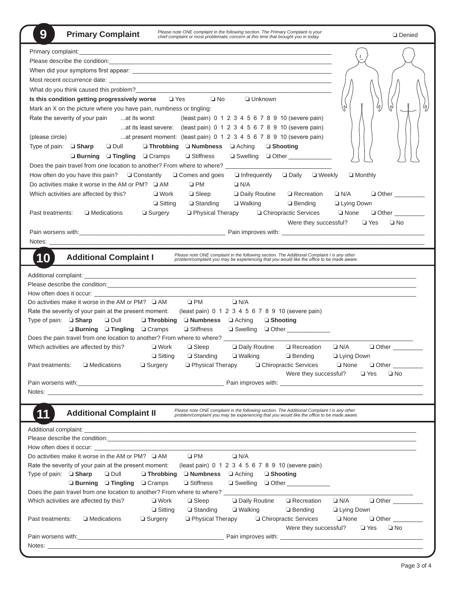**Primary Complaint** Please note ONE complaint in the following section. The Primary Complaint is your <br> **Primary Complaint** chief complaint or most problematic concern at this time that brought you in today.

| Most recent occurrence date: <u>example and contract and contract and contract and contract and contract and contract and contract and contract and contract and contract and contract and contract and contract and contract an</u> |
|--------------------------------------------------------------------------------------------------------------------------------------------------------------------------------------------------------------------------------------|
|                                                                                                                                                                                                                                      |
| Is this condition getting progressively worse $\Box$ Yes $\Box$ No $\Box$ Unknown                                                                                                                                                    |
| U).<br>Μ,<br>η,<br>Mark an X on the picture where you have pain, numbness or tingling:                                                                                                                                               |
| Rate the severity of your pain<br>$\ldots$ at its worst:<br>(least pain) 0 1 2 3 4 5 6 7 8 9 10 (severe pain)                                                                                                                        |
| at its least severe: (least pain) $0 \t1 2 \t3 4 \t5 6 \t7 8 \t9 10$ (severe pain)                                                                                                                                                   |
| at present moment: (least pain) $0 \t1 2 \t3 4 \t5 6 \t7 8 \t9 10$ (severe pain)<br>(please circle)                                                                                                                                  |
| $\Box$ Dull<br>□ Throbbing □ Numbness □ Aching □ Shooting<br>Type of pain: $\square$ Sharp                                                                                                                                           |
| $\Box$ Burning $\Box$ Tingling $\Box$ Cramps<br><b>□ Stiffness</b><br>□ Swelling □ Other                                                                                                                                             |
| Does the pain travel from one location to another? From where to where? ____________________________                                                                                                                                 |
| How often do you have this pain? $\Box$ Constantly $\Box$ Comes and goes<br>$\Box$ Infrequently $\Box$ Daily $\Box$ Weekly<br>□ Monthly                                                                                              |
| Do activities make it worse in the AM or PM? $\Box$ AM<br>$\square$ PM<br>$\Box$ N/A                                                                                                                                                 |
| $\Box$ Sleep<br>Daily Routine<br>Which activities are affected by this?<br>$\square$ Work<br>□ Recreation<br>$\Box$ N/A<br>Other ________                                                                                            |
| $\Box$ Sitting<br>$\Box$ Standing<br>$\Box$ Walking<br>$\Box$ Bending<br>□ Lying Down                                                                                                                                                |
| <b>Physical Therapy</b><br>□ Chiropractic Services<br>$\Box$ None<br>Past treatments:<br>□ Medications<br>□ Surgery<br>$\Box$ Other $\_\_\_\_\_\_\_\_\_\_\_\_\_\_\_\_$                                                               |
| Were they successful?<br>$\Box$ Yes<br>$\square$ No                                                                                                                                                                                  |
|                                                                                                                                                                                                                                      |
| Notes:                                                                                                                                                                                                                               |
| the control of the control of the control of the control of the control of the control of                                                                                                                                            |
| Please note ONE complaint in the following section. The Additional Complaint I is any other problem/complaint you may be experiencing that you would like the office to be made aware.<br>10<br><b>Additional Complaint I</b>        |
|                                                                                                                                                                                                                                      |
|                                                                                                                                                                                                                                      |
| Please describe the condition: experience and a series of the series of the series of the series of the series of the series of the series of the series of the series of the series of the series of the series of the series       |
|                                                                                                                                                                                                                                      |
| How often does it occur: ___________                                                                                                                                                                                                 |
| $\square$ PM<br>$\Box$ N/A<br>Do activities make it worse in the AM or PM? $\square$ AM                                                                                                                                              |
| (least pain) 0 1 2 3 4 5 6 7 8 9 10 (severe pain)<br>Rate the severity of your pain at the present moment:                                                                                                                           |
| Type of pain: $\Box$ Sharp<br>$\Box$ Dull<br>$\Box$ Throbbing<br>$\Box$ Shooting<br>$\Box$ <b>Numbness</b> $\Box$ Aching                                                                                                             |
| $\Box$ Burning $\Box$ Tingling $\Box$ Cramps<br>□ Stiffness<br>Swelling Q Other                                                                                                                                                      |
| Does the pain travel from one location to another? From where to where?                                                                                                                                                              |
| Which activities are affected by this?<br><b>Daily Routine</b><br>$\Box$ N/A<br>$\Box$ Work<br>$\Box$ Sleep<br>□ Recreation<br>$\Box$ Other                                                                                          |
| $\Box$ Sitting<br><b>U</b> Walking<br>$\Box$ Standing<br>$\Box$ Bending<br>□ Lying Down                                                                                                                                              |
| □ Physical Therapy<br>□ Chiropractic Services<br>□ Medications<br>$\Box$ Surgery<br>$\Box$ None<br>$\Box$ Other<br>Past treatments:                                                                                                  |
| Were they successful? <b>I</b> Yes <b>I</b> No                                                                                                                                                                                       |
|                                                                                                                                                                                                                                      |
|                                                                                                                                                                                                                                      |
|                                                                                                                                                                                                                                      |
| Please note ONE complaint in the following section. The Additional Complaint I is any other problem/complaint you may be experiencing that you would like the office to be made aware.<br>11<br><b>Additional Complaint II</b>       |
|                                                                                                                                                                                                                                      |
|                                                                                                                                                                                                                                      |
|                                                                                                                                                                                                                                      |
| $\square$ PM<br>Do activities make it worse in the AM or PM? $\Box$ AM<br>$\Box$ N/A                                                                                                                                                 |
| Rate the severity of your pain at the present moment:<br>(least pain) 0 1 2 3 4 5 6 7 8 9 10 (severe pain)                                                                                                                           |
| Type of pain: $\Box$ Sharp<br>$\Box$ Dull<br>□ Throbbing<br>$\Box$ Numbness $\Box$ Aching<br>$\Box$ Shooting                                                                                                                         |
| $\Box$ Burning $\Box$ Tingling $\Box$ Cramps<br>□ Stiffness<br>Swelling Other ___________                                                                                                                                            |
| Does the pain travel from one location to another? From where to where?                                                                                                                                                              |
| Which activities are affected by this?<br>$\Box$ Work<br>$\Box$ Sleep<br>Daily Routine<br>$\Box$ Recreation<br>$\Box$ N/A<br>Other ________                                                                                          |
| $\Box$ Sitting<br>$\Box$ Standing<br>□ Walking<br>$\Box$ Bending<br><b>Lying Down</b>                                                                                                                                                |
| $\Box$ Medications<br>$\Box$ Physical Therapy<br>□ Chiropractic Services<br>$\Box$ Other<br>Past treatments:<br>$\Box$ Surgery<br>$\Box$ None                                                                                        |
| Were they successful?<br>$\Box$ Yes<br>$\square$ No                                                                                                                                                                                  |
| Pain worsens with: William Communication of the Communication of the Communication of the Communication of the<br>Notes: _________________                                                                                           |